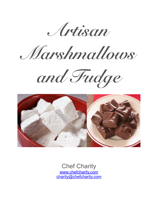*Artisan*

*Marshmallows* 





Chef Charity [www.chefcharity.com](http://www.chefcharity.com) [charity@chefcharity.com](mailto:charity@chefcharity.com)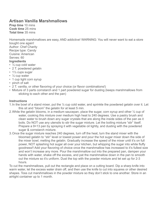# **Artisan Vanilla Marshmallows**

**Prep time** 10 mins **Cook time** 25 mins **Total time** 35 mins

Homemade marshmallows are easy, AND addictive! WARNING: You will never want to eat a store bought one again! Author: Chef Charity Recipe type: Candy Cuisine: American

Serves: 60

#### **Ingredients**

- ½ cup cold water
- 2 T. powdered gelatin
- 1<sup>1/2</sup> cups sugar
- ½ cup water
- 1 cup light corn syrup
- pinch of salt
- 2 T. vanilla, or other flavoring of your choice (or flavor combinations!)
- Mixture of 3 parts cornstarch and 1 part powdered sugar for dusting (keeps marshmallows from sticking to each other and the pan)

### **Instructions**

- 1. In the bowl of a stand mixer, put the  $\frac{1}{2}$  cup cold water, and sprinkle the powdered gelatin over it. Let this sit and "bloom" the gelatin for at least 5 min.
- 2.While the gelatin blooms, in a medium saucepan, place the sugar, corn syrup and other ½ cup of water, cooking this mixture over medium high heat to 240 degrees. Use a pastry brush and clean water to brush down any sugar crystals that are along the inside sides of the pan as it boils. Do NOT use any utensils to stir the sugar mixture. Let the boiling mixture "stir" itself. Prepare a 9×13 pan by spraying it with vegetable oil lightly, and dusting with the powdered sugar & cornstarch mixture.
- 3.Once the sugar mixture reaches 240 degrees, turn off the heat, turn the stand mixer with the bloomed gelatin to "stir" level or lowest power and pour the hot sugar mixer down the side of the mixer bowl, melting the gelatin. Gradually increase the speed of the mixer until it's on full power, NOT splashing hot sugar all over your kitchen, but whipping the sugar into white fluffy goodness!! Add your flavoring of choice once the marshmallow has increased to it's fullest size and won't increase any more. Pour the marshmallow out into the prepared pan, dampen your hands with water, shake off the excess, and pat the marshmallow down in the pan to smooth out the mixture so it's uniform. Dust the top with the powder mixture and let set up for 2-3 hours.

To cut the marshmallows, pull out the rectangle and place on a cutting board. Dip a sharp knife into warm water, let the excess water drain off, and then use the knife to cut into squares or other desired shapes. Toss cut marshmallows in the powder mixture so they don't stick to one another. Store in an airtight container up to 1 month.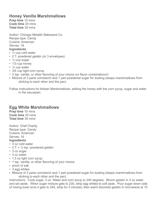# **Honey Vanilla Marshmallows**

**Prep time** 10 mins **Cook time** 25 mins **Total time** 35 mins

Author: Chicago Metallic Bakeware Co. Recipe type: Candy Cuisine: American Serves: 16 **Ingredients**

- 1/<sub>2</sub> cup cold water
- 2 T. powdered gelatin (or 3 envelopes)
- ½ cup sugar
- 1/3 cup honey
- ½ cup water
- 3/4 cup light corn syrup
- 2 tsp. vanilla, or other flavoring of your choice (or flavor combinations!)
- Mixture of 3 parts cornstarch and 1 part powdered sugar for dusting (keeps marshmallows from sticking to each other and the pan)

Follow instructions for Artisan Marshmallows, adding the honey with the corn syrup, sugar and water in the saucepan.

# **Egg White Marshmallows**

**Prep time** 10 mins **Cook time** 25 mins **Total time** 35 mins

Author: Chef Charity Recipe type: Candy Cuisine: American Serves: 16 **Ingredients**

### • 3 oz cold water

- 2 T.  $+$   $\frac{1}{4}$  tsp. powdered gelatin
- 3 oz sugar
- 3 oz water
- 1.5 oz light corn syrup
- 1 tsp. vanilla, or other flavoring of your choice
- pinch of salt
- 3 egg whites
- Mixture of 3 parts cornstarch and 1 part powdered sugar for dusting (keeps marshmallows from sticking to each other and the pan)

Instructions: Cook sugar, 3 oz. Water and corn syrup to 245 degrees. Bloom gelatin in 3 oz water and set aside. When sugar mixture gets to 230, whip egg whites to soft peak. Pour sugar down side of mixing bowl once it gets to 245, whip for 3 minutes; then warm bloomed gelatin in microwave at 10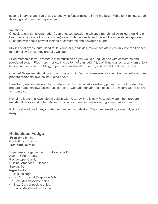second intervals until liquid, add to egg white/sugar mixture in mixing bowl. Whip for 5 minutes; add flavoring and pour into prepared pan.

Variations:

Chocolate marshmallows: add ½ cup of cocoa powder to whipped marshmallow mixture (mixing on low to avoid a cloud of cocoa powder) along with the vanilla and mix until completely incorporated. Dust pan with cocoa powder instead of cornstarch and powdered sugar.

Mix-ins of all types; nuts, dried fruits, citrus oils, sprinkles, mini chocolate chips; mix into the finished marshmallows once they are fully whipped.

Filled marshmallows; prepare a mini muffin tin as you would a regular pan with cornstarch and powdered sugar. Pipe marshmallow into bottom of pan, add ¼ tsp of filling (ganache, any jam or jelly, lemon curd, or other fun filling) pipe more marshmallow on top, and let set for at least 1 hour.

Concord Grape marshmallows: bloom gelatin with ½ c. unsweetened Grape juice concentrate, then prepare marshmallows as instructed above.

Strawberry marshmallows: bloom gelatin with  $\frac{1}{2}$  c. strained strawberry puree + 2 T cold water, then prepare marshmallows as instructed above. Can add dehydrated pieces of strawberry at the end as a mix in also.

Key Lime Marshmallows: bloom gelatin with  $\frac{1}{4}$  c. key lime juice +  $\frac{1}{4}$  c. cold water, then prepare marshmallows as instructed above. Dust sides of marshmallows with graham cracker crumbs

Roll marshmallows in any crushed up medium you desire! The sides are sticky once cut, so stick away!

### **Ridiculous Fudge**

**Prep time** 5 mins **Cook time** 10 mins **Total time** 15 mins

Super easy fudge recipe....That's a no fail!! Author: Chef Charity Recipe type: Candy Cuisine: American – Dessert Serves: 60 **Ingredients**

- 4½ cups sugar
- 1 12 oz. can of Evaporate Milk
- 10 oz. Milk chocolate chips
- 18 oz. Dark chocolate chips
- 1 jar of Marshmallow Creme